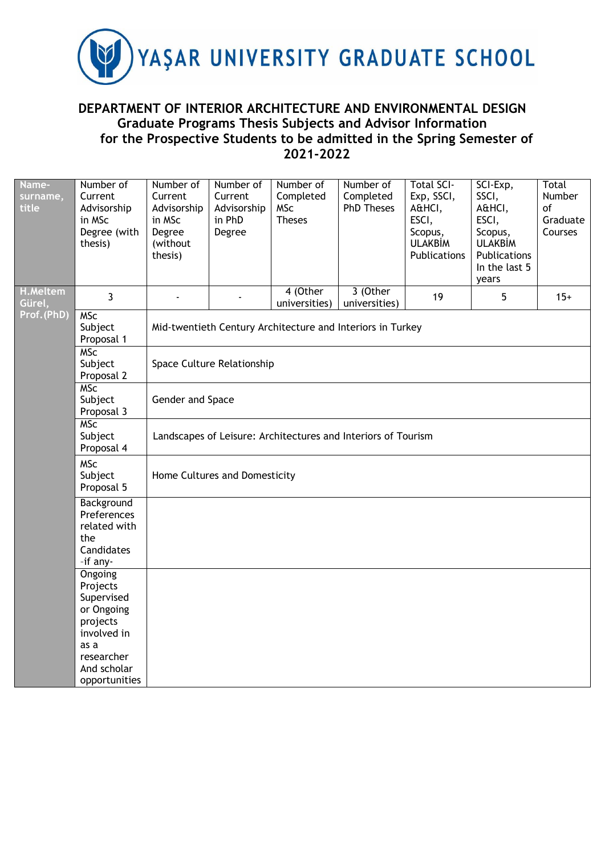

## **DEPARTMENT OF INTERIOR ARCHITECTURE AND ENVIRONMENTAL DESIGN Graduate Programs Thesis Subjects and Advisor Information for the Prospective Students to be admitted in the Spring Semester of 2021-2022**

| Name-<br>surname,<br>title | Number of<br>Current<br>Advisorship<br>in MSc<br>Degree (with<br>thesis)   | Number of<br>Current<br>Advisorship<br>in MSc<br>Degree<br>(without<br>thesis) | Number of<br>Current<br>Advisorship<br>in PhD<br>Degree | Number of<br>Completed<br><b>MSc</b><br><b>Theses</b>         | Number of<br>Completed<br><b>PhD Theses</b> | <b>Total SCI-</b><br>Exp, SSCI,<br>A&HCI,<br>ESCI,<br>Scopus,<br><b>ULAKBİM</b><br>Publications | SCI-Exp,<br>SSCI,<br>A&HCI,<br>ESCI,<br>Scopus,<br><b>ULAKBİM</b><br>Publications<br>In the last 5<br>years | Total<br>Number<br>of<br>Graduate<br>Courses |  |  |  |  |
|----------------------------|----------------------------------------------------------------------------|--------------------------------------------------------------------------------|---------------------------------------------------------|---------------------------------------------------------------|---------------------------------------------|-------------------------------------------------------------------------------------------------|-------------------------------------------------------------------------------------------------------------|----------------------------------------------|--|--|--|--|
| <b>H.Meltem</b><br>Gürel,  | 3                                                                          |                                                                                |                                                         | 4 (Other<br>universities)                                     | 3 (Other<br>universities)                   | 19                                                                                              | 5                                                                                                           | $15+$                                        |  |  |  |  |
| Prof.(PhD)                 | <b>MSc</b><br>Subject<br>Proposal 1                                        |                                                                                |                                                         | Mid-twentieth Century Architecture and Interiors in Turkey    |                                             |                                                                                                 |                                                                                                             |                                              |  |  |  |  |
|                            | <b>MSC</b><br>Subject<br>Proposal 2                                        |                                                                                | Space Culture Relationship                              |                                                               |                                             |                                                                                                 |                                                                                                             |                                              |  |  |  |  |
|                            | <b>MSc</b><br>Subject<br>Proposal 3                                        |                                                                                | Gender and Space                                        |                                                               |                                             |                                                                                                 |                                                                                                             |                                              |  |  |  |  |
|                            | <b>MSC</b><br>Subject<br>Proposal 4                                        |                                                                                |                                                         | Landscapes of Leisure: Architectures and Interiors of Tourism |                                             |                                                                                                 |                                                                                                             |                                              |  |  |  |  |
|                            | <b>MSc</b><br>Subject<br>Proposal 5                                        |                                                                                | Home Cultures and Domesticity                           |                                                               |                                             |                                                                                                 |                                                                                                             |                                              |  |  |  |  |
|                            | Background<br>Preferences<br>related with<br>the<br>Candidates<br>-if any- |                                                                                |                                                         |                                                               |                                             |                                                                                                 |                                                                                                             |                                              |  |  |  |  |
|                            | Ongoing<br>Projects<br>Supervised<br>or Ongoing<br>projects<br>involved in |                                                                                |                                                         |                                                               |                                             |                                                                                                 |                                                                                                             |                                              |  |  |  |  |
|                            | as a<br>researcher<br>And scholar<br>opportunities                         |                                                                                |                                                         |                                                               |                                             |                                                                                                 |                                                                                                             |                                              |  |  |  |  |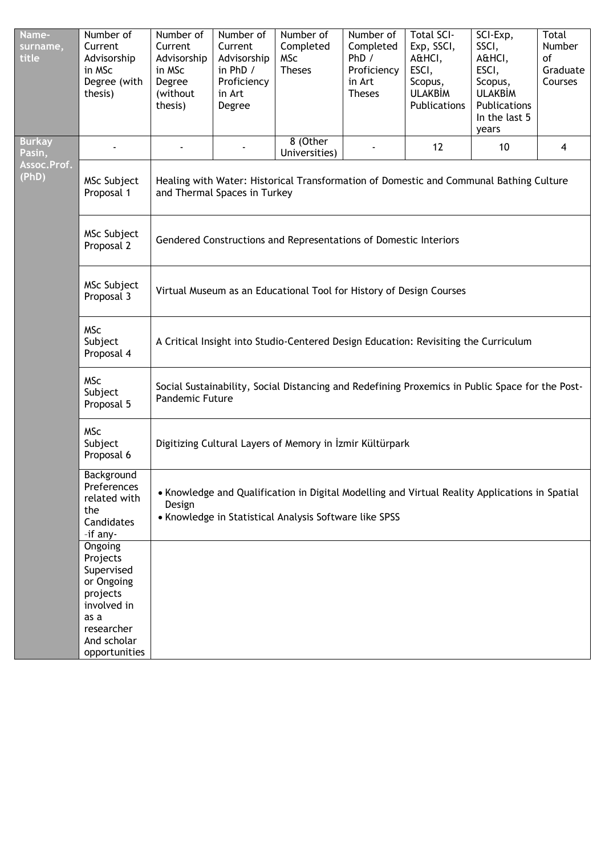| Name-<br>surname,<br>title | Number of<br>Current<br>Advisorship<br>in MSc<br>Degree (with<br>thesis)                                                         | Number of<br>Current<br>Advisorship<br>in MSc<br>Degree<br>(without<br>thesis)                                                                                     | Number of<br>Current<br>Advisorship<br>in PhD /<br>Proficiency<br>in Art<br>Degree                                                      | Number of<br>Completed<br><b>MSc</b><br><b>Theses</b>                                           | Number of<br>Completed<br>PhD /<br>Proficiency<br>in Art<br><b>Theses</b> | <b>Total SCI-</b><br>Exp, SSCI,<br>A&HCI,<br>ESCI,<br>Scopus,<br><b>ULAKBİM</b><br>Publications | SCI-Exp,<br>SSCI,<br>A&HCI,<br>ESCI,<br>Scopus,<br><b>ULAKBİM</b><br>Publications<br>In the last 5<br>years | Total<br>Number<br>of<br>Graduate<br>Courses |  |  |  |
|----------------------------|----------------------------------------------------------------------------------------------------------------------------------|--------------------------------------------------------------------------------------------------------------------------------------------------------------------|-----------------------------------------------------------------------------------------------------------------------------------------|-------------------------------------------------------------------------------------------------|---------------------------------------------------------------------------|-------------------------------------------------------------------------------------------------|-------------------------------------------------------------------------------------------------------------|----------------------------------------------|--|--|--|
| <b>Burkay</b><br>Pasin,    |                                                                                                                                  |                                                                                                                                                                    |                                                                                                                                         | 8 (Other<br>Universities)                                                                       |                                                                           | 12                                                                                              | 10                                                                                                          | $\overline{\mathbf{4}}$                      |  |  |  |
| Assoc.Prof.<br>(PhD)       | MSc Subject<br>Proposal 1                                                                                                        | Healing with Water: Historical Transformation of Domestic and Communal Bathing Culture<br>and Thermal Spaces in Turkey                                             |                                                                                                                                         |                                                                                                 |                                                                           |                                                                                                 |                                                                                                             |                                              |  |  |  |
|                            | MSc Subject<br>Proposal 2                                                                                                        |                                                                                                                                                                    | Gendered Constructions and Representations of Domestic Interiors<br>Virtual Museum as an Educational Tool for History of Design Courses |                                                                                                 |                                                                           |                                                                                                 |                                                                                                             |                                              |  |  |  |
|                            | MSc Subject<br>Proposal 3                                                                                                        |                                                                                                                                                                    |                                                                                                                                         |                                                                                                 |                                                                           |                                                                                                 |                                                                                                             |                                              |  |  |  |
|                            | <b>MSc</b><br>Subject<br>Proposal 4                                                                                              |                                                                                                                                                                    |                                                                                                                                         | A Critical Insight into Studio-Centered Design Education: Revisiting the Curriculum             |                                                                           |                                                                                                 |                                                                                                             |                                              |  |  |  |
|                            | <b>MSc</b><br>Subject<br>Proposal 5                                                                                              | Pandemic Future                                                                                                                                                    |                                                                                                                                         | Social Sustainability, Social Distancing and Redefining Proxemics in Public Space for the Post- |                                                                           |                                                                                                 |                                                                                                             |                                              |  |  |  |
|                            | <b>MSc</b><br>Subject<br>Proposal 6                                                                                              |                                                                                                                                                                    |                                                                                                                                         | Digitizing Cultural Layers of Memory in İzmir Kültürpark                                        |                                                                           |                                                                                                 |                                                                                                             |                                              |  |  |  |
|                            | Background<br>Preferences<br>related with<br>the<br>Candidates<br>-if any-                                                       | . Knowledge and Qualification in Digital Modelling and Virtual Reality Applications in Spatial<br>Design<br>• Knowledge in Statistical Analysis Software like SPSS |                                                                                                                                         |                                                                                                 |                                                                           |                                                                                                 |                                                                                                             |                                              |  |  |  |
|                            | Ongoing<br>Projects<br>Supervised<br>or Ongoing<br>projects<br>involved in<br>as a<br>researcher<br>And scholar<br>opportunities |                                                                                                                                                                    |                                                                                                                                         |                                                                                                 |                                                                           |                                                                                                 |                                                                                                             |                                              |  |  |  |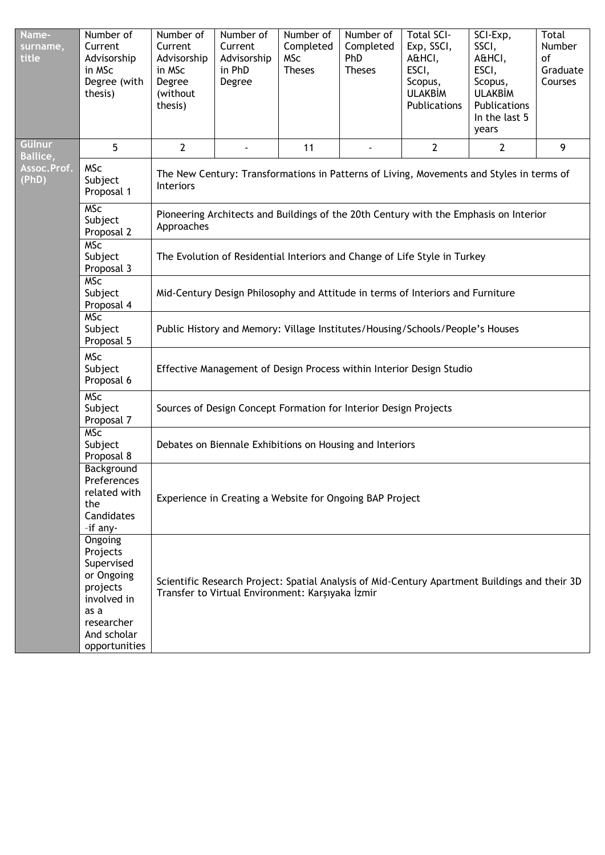| Name-<br>surname,<br>title        | Number of<br>Current<br>Advisorship<br>in MSc<br>Degree (with<br>thesis)                                                         | Number of<br>Current<br>Advisorship<br>in MSc<br>Degree<br>(without<br>thesis)                                                                    | Number of<br>Current<br>Advisorship<br>in PhD<br>Degree                               | Number of<br>Completed<br><b>MSc</b><br><b>Theses</b> | Number of<br>Completed<br>PhD<br><b>Theses</b> | <b>Total SCI-</b><br>Exp, SSCI,<br>A&HCI,<br>ESCI,<br>Scopus,<br><b>ULAKBİM</b><br>Publications | SCI-Exp,<br>SSCI,<br>A&HCI,<br>ESCI,<br>Scopus,<br><b>ULAKBİM</b><br>Publications<br>In the last 5<br>years | Total<br><b>Number</b><br>of<br>Graduate<br>Courses |  |  |  |
|-----------------------------------|----------------------------------------------------------------------------------------------------------------------------------|---------------------------------------------------------------------------------------------------------------------------------------------------|---------------------------------------------------------------------------------------|-------------------------------------------------------|------------------------------------------------|-------------------------------------------------------------------------------------------------|-------------------------------------------------------------------------------------------------------------|-----------------------------------------------------|--|--|--|
| <b>Gülnur</b><br><b>Ballice</b> , | 5                                                                                                                                | $\overline{2}$                                                                                                                                    |                                                                                       | 11                                                    |                                                | $\overline{2}$                                                                                  | $\mathbf{2}$                                                                                                | 9                                                   |  |  |  |
| Assoc.Prof.<br>(PhD)              | <b>MSc</b><br>Subject<br>Proposal 1                                                                                              | The New Century: Transformations in Patterns of Living, Movements and Styles in terms of<br><b>Interiors</b>                                      |                                                                                       |                                                       |                                                |                                                                                                 |                                                                                                             |                                                     |  |  |  |
|                                   | <b>MSC</b><br>Subject<br>Proposal 2                                                                                              | Approaches                                                                                                                                        | Pioneering Architects and Buildings of the 20th Century with the Emphasis on Interior |                                                       |                                                |                                                                                                 |                                                                                                             |                                                     |  |  |  |
|                                   | <b>MSc</b><br>Subject<br>Proposal 3                                                                                              |                                                                                                                                                   | The Evolution of Residential Interiors and Change of Life Style in Turkey             |                                                       |                                                |                                                                                                 |                                                                                                             |                                                     |  |  |  |
|                                   | <b>MSC</b><br>Subject<br>Proposal 4                                                                                              |                                                                                                                                                   | Mid-Century Design Philosophy and Attitude in terms of Interiors and Furniture        |                                                       |                                                |                                                                                                 |                                                                                                             |                                                     |  |  |  |
|                                   | <b>MSc</b><br>Subject<br>Proposal 5                                                                                              |                                                                                                                                                   | Public History and Memory: Village Institutes/Housing/Schools/People's Houses         |                                                       |                                                |                                                                                                 |                                                                                                             |                                                     |  |  |  |
|                                   | <b>MSc</b><br>Subject<br>Proposal 6                                                                                              |                                                                                                                                                   |                                                                                       |                                                       |                                                | Effective Management of Design Process within Interior Design Studio                            |                                                                                                             |                                                     |  |  |  |
|                                   | <b>MSC</b><br>Subject<br>Proposal 7                                                                                              |                                                                                                                                                   | Sources of Design Concept Formation for Interior Design Projects                      |                                                       |                                                |                                                                                                 |                                                                                                             |                                                     |  |  |  |
|                                   | <b>MSC</b><br>Subject<br>Proposal 8                                                                                              |                                                                                                                                                   | Debates on Biennale Exhibitions on Housing and Interiors                              |                                                       |                                                |                                                                                                 |                                                                                                             |                                                     |  |  |  |
|                                   | Background<br>Preferences<br>related with<br>the<br>Candidates<br>-if any-                                                       | Experience in Creating a Website for Ongoing BAP Project                                                                                          |                                                                                       |                                                       |                                                |                                                                                                 |                                                                                                             |                                                     |  |  |  |
|                                   | Ongoing<br>Projects<br>Supervised<br>or Ongoing<br>projects<br>involved in<br>as a<br>researcher<br>And scholar<br>opportunities | Scientific Research Project: Spatial Analysis of Mid-Century Apartment Buildings and their 3D<br>Transfer to Virtual Environment: Karşıyaka İzmir |                                                                                       |                                                       |                                                |                                                                                                 |                                                                                                             |                                                     |  |  |  |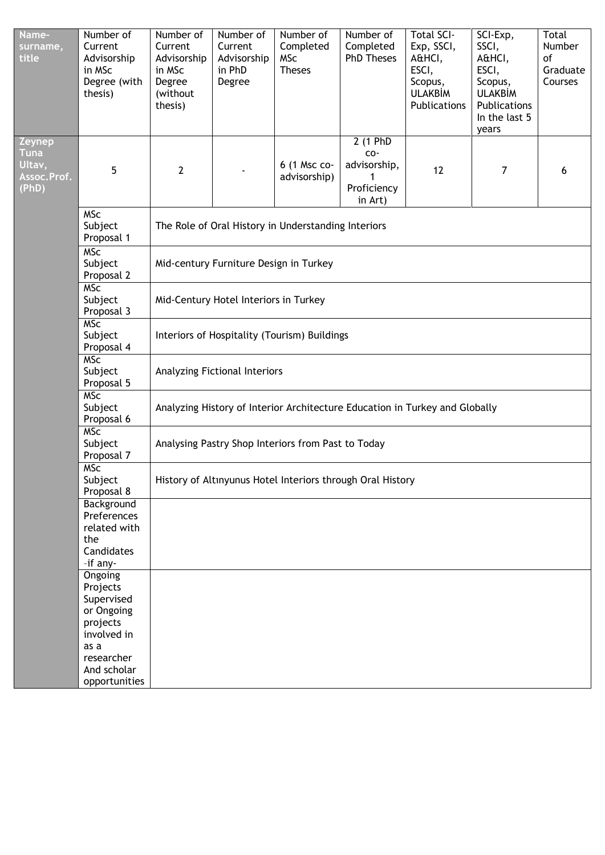| Name-<br>surname,<br>title                              | Number of<br>Current<br>Advisorship<br>in MSc<br>Degree (with<br>thesis)     | Number of<br>Current<br>Advisorship<br>in MSc<br>Degree<br>(without<br>thesis) | Number of<br>Current<br>Advisorship<br>in PhD<br>Degree | Number of<br>Completed<br><b>MSc</b><br><b>Theses</b> | Number of<br>Completed<br><b>PhD Theses</b>               | <b>Total SCI-</b><br>Exp, SSCI,<br>A&HCI,<br>ESCI,<br>Scopus,<br><b>ULAKBİM</b><br>Publications | SCI-Exp,<br>SSCI,<br>A&HCI,<br>ESCI,<br>Scopus,<br><b>ULAKBİM</b><br>Publications<br>In the last 5<br>years | Total<br>Number<br>of<br>Graduate<br>Courses |  |  |  |
|---------------------------------------------------------|------------------------------------------------------------------------------|--------------------------------------------------------------------------------|---------------------------------------------------------|-------------------------------------------------------|-----------------------------------------------------------|-------------------------------------------------------------------------------------------------|-------------------------------------------------------------------------------------------------------------|----------------------------------------------|--|--|--|
| Zeynep<br><b>Tuna</b><br>Ultav,<br>Assoc.Prof.<br>(PhD) | 5                                                                            | $\overline{2}$                                                                 |                                                         | 6 (1 Msc co-<br>advisorship)                          | 2 (1 PhD<br>CO-<br>advisorship,<br>Proficiency<br>in Art) | 12                                                                                              | 7                                                                                                           | 6                                            |  |  |  |
|                                                         | <b>MSc</b><br>Subject<br>Proposal 1                                          |                                                                                |                                                         | The Role of Oral History in Understanding Interiors   |                                                           |                                                                                                 |                                                                                                             |                                              |  |  |  |
|                                                         | <b>MSC</b><br>Subject<br>Proposal 2                                          |                                                                                | Mid-century Furniture Design in Turkey                  |                                                       |                                                           |                                                                                                 |                                                                                                             |                                              |  |  |  |
|                                                         | <b>MSc</b><br>Subject<br>Mid-Century Hotel Interiors in Turkey<br>Proposal 3 |                                                                                |                                                         |                                                       |                                                           |                                                                                                 |                                                                                                             |                                              |  |  |  |
|                                                         | <b>MSC</b><br>Subject<br>Proposal 4                                          | Interiors of Hospitality (Tourism) Buildings                                   |                                                         |                                                       |                                                           |                                                                                                 |                                                                                                             |                                              |  |  |  |
|                                                         | <b>MSC</b><br>Subject<br>Proposal 5                                          | Analyzing Fictional Interiors                                                  |                                                         |                                                       |                                                           |                                                                                                 |                                                                                                             |                                              |  |  |  |
|                                                         | <b>MSc</b><br>Subject<br>Proposal 6                                          | Analyzing History of Interior Architecture Education in Turkey and Globally    |                                                         |                                                       |                                                           |                                                                                                 |                                                                                                             |                                              |  |  |  |
|                                                         | <b>MSC</b><br>Subject<br>Proposal 7                                          | Analysing Pastry Shop Interiors from Past to Today                             |                                                         |                                                       |                                                           |                                                                                                 |                                                                                                             |                                              |  |  |  |
|                                                         | <b>MSc</b><br>Subject<br>Proposal 8                                          | History of Altınyunus Hotel Interiors through Oral History                     |                                                         |                                                       |                                                           |                                                                                                 |                                                                                                             |                                              |  |  |  |
|                                                         | Background<br>Preferences<br>related with<br>the<br>Candidates<br>-if any-   |                                                                                |                                                         |                                                       |                                                           |                                                                                                 |                                                                                                             |                                              |  |  |  |
|                                                         | Ongoing<br>Projects                                                          |                                                                                |                                                         |                                                       |                                                           |                                                                                                 |                                                                                                             |                                              |  |  |  |
|                                                         | Supervised<br>or Ongoing<br>projects<br>involved in                          |                                                                                |                                                         |                                                       |                                                           |                                                                                                 |                                                                                                             |                                              |  |  |  |
|                                                         | as a<br>researcher<br>And scholar                                            |                                                                                |                                                         |                                                       |                                                           |                                                                                                 |                                                                                                             |                                              |  |  |  |
|                                                         | opportunities                                                                |                                                                                |                                                         |                                                       |                                                           |                                                                                                 |                                                                                                             |                                              |  |  |  |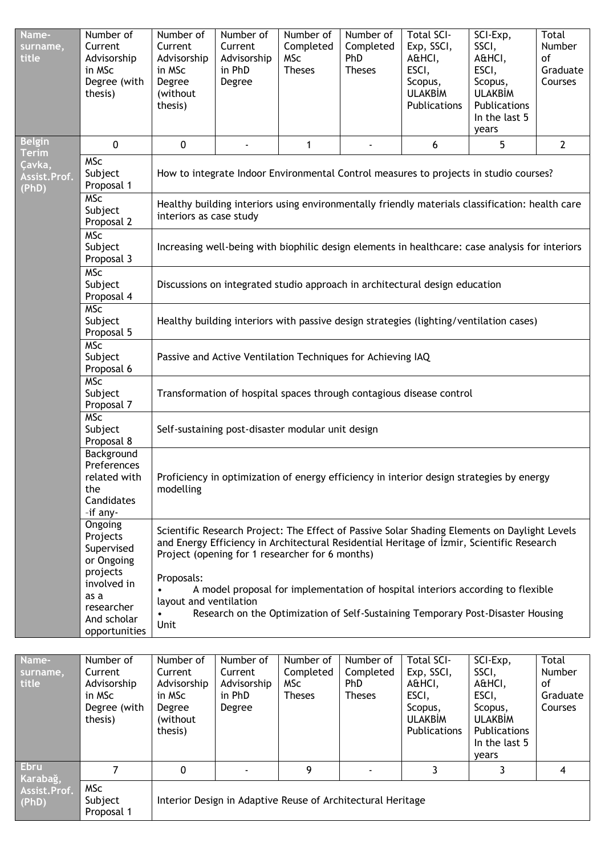| Name-<br>surname,<br>title      | Number of<br>Current<br>Advisorship<br>in MSc<br>Degree (with<br>thesis)      | Number of<br>Current<br>Advisorship<br>in MSc<br>Degree<br>(without<br>thesis)        | Number of<br>Current<br>Advisorship<br>in PhD<br>Degree                                                                                                                                      | Number of<br>Completed<br><b>MSc</b><br><b>Theses</b> | Number of<br>Completed<br>PhD<br><b>Theses</b> | <b>Total SCI-</b><br>Exp, SSCI,<br>A&HCI,<br>ESCI,<br>Scopus,<br><b>ULAKBİM</b><br>Publications | SCI-Exp,<br>SSCI,<br>A&HCI,<br>ESCI,<br>Scopus,<br><b>ULAKBİM</b><br>Publications<br>In the last 5<br>years                                                                               | Total<br>Number<br>of<br>Graduate<br>Courses |  |  |  |
|---------------------------------|-------------------------------------------------------------------------------|---------------------------------------------------------------------------------------|----------------------------------------------------------------------------------------------------------------------------------------------------------------------------------------------|-------------------------------------------------------|------------------------------------------------|-------------------------------------------------------------------------------------------------|-------------------------------------------------------------------------------------------------------------------------------------------------------------------------------------------|----------------------------------------------|--|--|--|
| <b>Belgin</b><br><b>Terim</b>   | $\mathbf 0$                                                                   | $\mathbf 0$                                                                           |                                                                                                                                                                                              | 1                                                     |                                                | 6                                                                                               | 5                                                                                                                                                                                         | $\overline{2}$                               |  |  |  |
| Çavka,<br>Assist.Prof.<br>(PhD) | <b>MSc</b><br>Subject<br>Proposal 1                                           | How to integrate Indoor Environmental Control measures to projects in studio courses? |                                                                                                                                                                                              |                                                       |                                                |                                                                                                 |                                                                                                                                                                                           |                                              |  |  |  |
|                                 | <b>MSc</b><br>Subject<br>Proposal 2                                           |                                                                                       | Healthy building interiors using environmentally friendly materials classification: health care<br>interiors as case study                                                                   |                                                       |                                                |                                                                                                 |                                                                                                                                                                                           |                                              |  |  |  |
|                                 | <b>MSc</b><br>Subject<br>Proposal 3                                           |                                                                                       | Increasing well-being with biophilic design elements in healthcare: case analysis for interiors                                                                                              |                                                       |                                                |                                                                                                 |                                                                                                                                                                                           |                                              |  |  |  |
|                                 | <b>MSc</b><br>Subject<br>Proposal 4                                           |                                                                                       | Discussions on integrated studio approach in architectural design education                                                                                                                  |                                                       |                                                |                                                                                                 |                                                                                                                                                                                           |                                              |  |  |  |
|                                 | <b>MSC</b><br>Subject<br>Proposal 5                                           |                                                                                       | Healthy building interiors with passive design strategies (lighting/ventilation cases)                                                                                                       |                                                       |                                                |                                                                                                 |                                                                                                                                                                                           |                                              |  |  |  |
|                                 | <b>MSc</b><br>Subject<br>Proposal 6                                           |                                                                                       | Passive and Active Ventilation Techniques for Achieving IAQ                                                                                                                                  |                                                       |                                                |                                                                                                 |                                                                                                                                                                                           |                                              |  |  |  |
|                                 | <b>MSC</b><br>Subject<br>Proposal 7                                           |                                                                                       |                                                                                                                                                                                              |                                                       |                                                | Transformation of hospital spaces through contagious disease control                            |                                                                                                                                                                                           |                                              |  |  |  |
|                                 | <b>MSC</b><br>Subject<br>Proposal 8                                           |                                                                                       | Self-sustaining post-disaster modular unit design                                                                                                                                            |                                                       |                                                |                                                                                                 |                                                                                                                                                                                           |                                              |  |  |  |
|                                 | Background<br>Preferences<br>related with<br>the<br>Candidates<br>-if any-    | modelling                                                                             |                                                                                                                                                                                              |                                                       |                                                |                                                                                                 | Proficiency in optimization of energy efficiency in interior design strategies by energy                                                                                                  |                                              |  |  |  |
|                                 | Ongoing<br>Projects<br>Supervised<br>or Ongoing                               |                                                                                       | Project (opening for 1 researcher for 6 months)                                                                                                                                              |                                                       |                                                |                                                                                                 | Scientific Research Project: The Effect of Passive Solar Shading Elements on Daylight Levels<br>and Energy Efficiency in Architectural Residential Heritage of İzmir, Scientific Research |                                              |  |  |  |
|                                 | projects<br>involved in<br>as a<br>researcher<br>And scholar<br>opportunities | Proposals:<br>Unit                                                                    | A model proposal for implementation of hospital interiors according to flexible<br>layout and ventilation<br>Research on the Optimization of Self-Sustaining Temporary Post-Disaster Housing |                                                       |                                                |                                                                                                 |                                                                                                                                                                                           |                                              |  |  |  |
|                                 |                                                                               |                                                                                       |                                                                                                                                                                                              |                                                       |                                                |                                                                                                 |                                                                                                                                                                                           |                                              |  |  |  |
| Name-<br>surname,<br>title      | Number of<br>Current<br>Advisorship<br>in MSc<br>Degree (with                 | Number of<br>Current<br>Advisorship<br>in MSc<br>Degree                               | Number of<br>Current<br>Advisorship<br>in PhD<br>Degree                                                                                                                                      | Number of<br>Completed<br><b>MSc</b><br><b>Theses</b> | Number of<br>Completed<br>PhD<br><b>Theses</b> | <b>Total SCI-</b><br>Exp, SSCI,<br>A&HCI,<br>ESCI,<br>Scopus,                                   | SCI-Exp,<br>SSCI,<br>A&HCI,<br>ESCI,<br>Scopus,                                                                                                                                           | Total<br>Number<br>οf<br>Graduate<br>Courses |  |  |  |

ULAKBİM Publications

7 | 0 | - | 9 | - | 3 | 3 | 4

Interior Design in Adaptive Reuse of Architectural Heritage

ULAKBİM Publications In the last 5 years

thesis)

MSc Subject Proposal 1

**Ebru Karabağ, Assist.Prof. (PhD)**

(without thesis)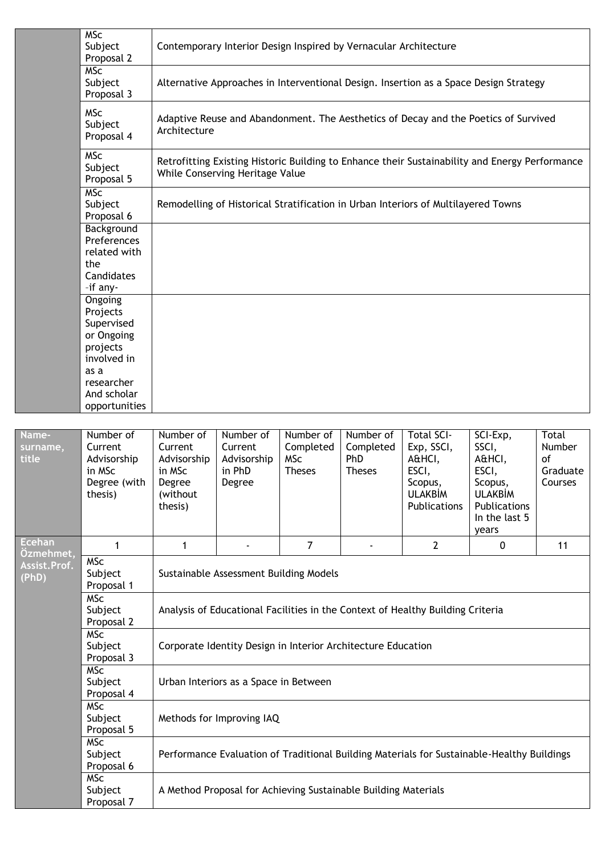|                            | <b>MSc</b><br>Subject<br>Proposal 2                                                                                              |                                                                                | Contemporary Interior Design Inspired by Vernacular Architecture |                                                       |                                                |                                                                                                 |                                                                                                             |                                                         |  |  |
|----------------------------|----------------------------------------------------------------------------------------------------------------------------------|--------------------------------------------------------------------------------|------------------------------------------------------------------|-------------------------------------------------------|------------------------------------------------|-------------------------------------------------------------------------------------------------|-------------------------------------------------------------------------------------------------------------|---------------------------------------------------------|--|--|
|                            | <b>MSC</b><br>Subject<br>Proposal 3                                                                                              |                                                                                |                                                                  |                                                       |                                                | Alternative Approaches in Interventional Design. Insertion as a Space Design Strategy           |                                                                                                             |                                                         |  |  |
|                            | <b>MSc</b><br>Subject<br>Proposal 4                                                                                              | Architecture                                                                   |                                                                  |                                                       |                                                | Adaptive Reuse and Abandonment. The Aesthetics of Decay and the Poetics of Survived             |                                                                                                             |                                                         |  |  |
|                            | <b>MSc</b><br>Subject<br>Proposal 5                                                                                              |                                                                                | While Conserving Heritage Value                                  |                                                       |                                                | Retrofitting Existing Historic Building to Enhance their Sustainability and Energy Performance  |                                                                                                             |                                                         |  |  |
|                            | <b>MSC</b><br>Subject<br>Remodelling of Historical Stratification in Urban Interiors of Multilayered Towns<br>Proposal 6         |                                                                                |                                                                  |                                                       |                                                |                                                                                                 |                                                                                                             |                                                         |  |  |
|                            | Background<br>Preferences<br>related with<br>the<br>Candidates<br>-if any-                                                       |                                                                                |                                                                  |                                                       |                                                |                                                                                                 |                                                                                                             |                                                         |  |  |
|                            | Ongoing<br>Projects<br>Supervised<br>or Ongoing<br>projects<br>involved in<br>as a<br>researcher<br>And scholar<br>opportunities |                                                                                |                                                                  |                                                       |                                                |                                                                                                 |                                                                                                             |                                                         |  |  |
|                            |                                                                                                                                  |                                                                                |                                                                  |                                                       |                                                |                                                                                                 |                                                                                                             |                                                         |  |  |
| Name-<br>surname,<br>title | Number of<br>Current<br>Advisorship<br>in MSc<br>Degree (with<br>thesis)                                                         | Number of<br>Current<br>Advisorship<br>in MSc<br>Degree<br>(without<br>thesis) | Number of<br>Current<br>Advisorship<br>in PhD<br>Degree          | Number of<br>Completed<br><b>MSc</b><br><b>Theses</b> | Number of<br>Completed<br>PhD<br><b>Theses</b> | <b>Total SCI-</b><br>Exp, SSCI,<br>A&HCI,<br>ESCI,<br>Scopus,<br><b>ULAKBİM</b><br>Publications | SCI-Exp,<br>SSCI,<br>A&HCI,<br>ESCI,<br>Scopus,<br><b>ULAKBİM</b><br>Publications<br>In the last 5<br>years | Total<br>Number<br><sub>of</sub><br>Graduate<br>Courses |  |  |
| <b>Ecehan</b><br>Özmehmet, | 1                                                                                                                                | 1                                                                              |                                                                  | $\overline{7}$                                        |                                                | $\overline{2}$                                                                                  | $\mathbf 0$                                                                                                 | 11                                                      |  |  |
| Assist.Prof.<br>(PhD)      | <b>MSc</b><br>Subject<br>Proposal 1                                                                                              |                                                                                | Sustainable Assessment Building Models                           |                                                       |                                                |                                                                                                 |                                                                                                             |                                                         |  |  |
|                            | <b>MSC</b><br>Subject<br>Proposal 2                                                                                              |                                                                                |                                                                  |                                                       |                                                | Analysis of Educational Facilities in the Context of Healthy Building Criteria                  |                                                                                                             |                                                         |  |  |
|                            | <b>MSc</b><br>Subject<br>Proposal 3                                                                                              |                                                                                | Corporate Identity Design in Interior Architecture Education     |                                                       |                                                |                                                                                                 |                                                                                                             |                                                         |  |  |
|                            | <b>MSc</b><br>Subject<br>Urban Interiors as a Space in Between<br>Proposal 4                                                     |                                                                                |                                                                  |                                                       |                                                |                                                                                                 |                                                                                                             |                                                         |  |  |
|                            | <b>MSc</b><br>Subject<br>Proposal 5                                                                                              |                                                                                | Methods for Improving IAQ                                        |                                                       |                                                |                                                                                                 |                                                                                                             |                                                         |  |  |
|                            | <b>MSC</b><br>Subject<br>Proposal 6                                                                                              |                                                                                |                                                                  |                                                       |                                                | Performance Evaluation of Traditional Building Materials for Sustainable-Healthy Buildings      |                                                                                                             |                                                         |  |  |
|                            | <b>MSC</b><br>Subject<br>Proposal 7                                                                                              |                                                                                | A Method Proposal for Achieving Sustainable Building Materials   |                                                       |                                                |                                                                                                 |                                                                                                             |                                                         |  |  |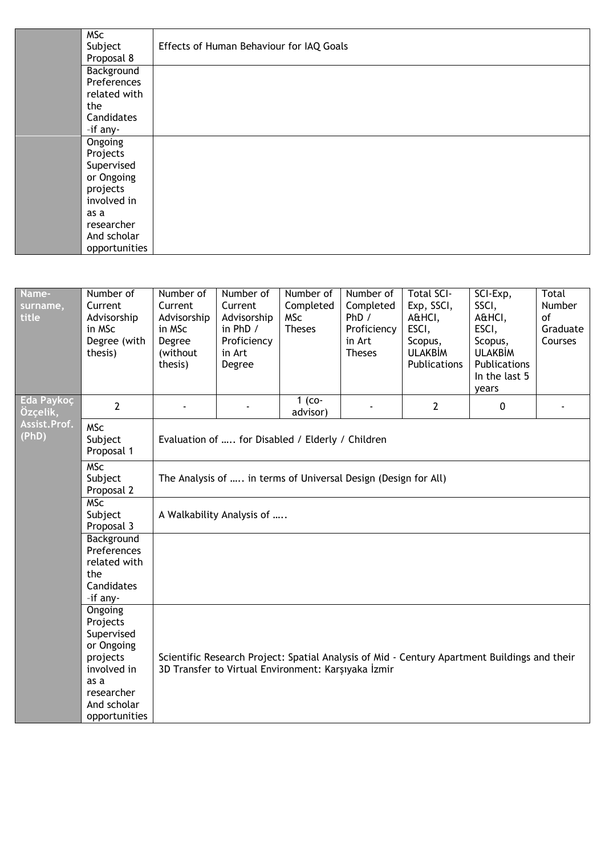| <b>MSc</b>    |                                          |
|---------------|------------------------------------------|
| Subject       | Effects of Human Behaviour for IAQ Goals |
| Proposal 8    |                                          |
| Background    |                                          |
| Preferences   |                                          |
| related with  |                                          |
| the           |                                          |
| Candidates    |                                          |
| -if any-      |                                          |
| Ongoing       |                                          |
| Projects      |                                          |
| Supervised    |                                          |
| or Ongoing    |                                          |
| projects      |                                          |
| involved in   |                                          |
| as a          |                                          |
| researcher    |                                          |
| And scholar   |                                          |
| opportunities |                                          |
|               |                                          |

| Name-<br>surname,<br>title | Number of<br>Current<br>Advisorship<br>in MSc<br>Degree (with<br>thesis)                                                         | Number of<br>Current<br>Advisorship<br>in MSc<br>Degree<br>(without<br>thesis) | Number of<br>Current<br>Advisorship<br>in PhD /<br>Proficiency<br>in Art<br>Degree | Number of<br>Completed<br><b>MSc</b><br><b>Theses</b> | Number of<br>Completed<br>PhD /<br>Proficiency<br>in Art<br><b>Theses</b> | <b>Total SCI-</b><br>Exp, SSCI,<br>A&HCI,<br>ESCI,<br>Scopus,<br><b>ULAKBİM</b><br><b>Publications</b> | SCI-Exp,<br>SSCI,<br>A&HCI,<br>ESCI,<br>Scopus,<br><b>ULAKBİM</b><br>Publications<br>In the last 5<br>years | <b>Total</b><br>Number<br>of<br>Graduate<br>Courses |  |  |  |
|----------------------------|----------------------------------------------------------------------------------------------------------------------------------|--------------------------------------------------------------------------------|------------------------------------------------------------------------------------|-------------------------------------------------------|---------------------------------------------------------------------------|--------------------------------------------------------------------------------------------------------|-------------------------------------------------------------------------------------------------------------|-----------------------------------------------------|--|--|--|
| Eda Paykoç<br>Özçelik,     | $\overline{2}$                                                                                                                   |                                                                                |                                                                                    | $1$ (co-<br>advisor)                                  |                                                                           | $\mathbf{2}$                                                                                           | $\mathbf 0$                                                                                                 |                                                     |  |  |  |
| Assist.Prof.<br>(PhD)      | <b>MSc</b><br>Subject<br>Proposal 1                                                                                              | Evaluation of  for Disabled / Elderly / Children                               |                                                                                    |                                                       |                                                                           |                                                                                                        |                                                                                                             |                                                     |  |  |  |
|                            | <b>MSC</b><br>Subject<br>Proposal 2                                                                                              | The Analysis of  in terms of Universal Design (Design for All)                 |                                                                                    |                                                       |                                                                           |                                                                                                        |                                                                                                             |                                                     |  |  |  |
|                            | <b>MSc</b><br>Subject<br>Proposal 3                                                                                              | A Walkability Analysis of                                                      |                                                                                    |                                                       |                                                                           |                                                                                                        |                                                                                                             |                                                     |  |  |  |
|                            | Background<br>Preferences<br>related with<br>the<br>Candidates<br>-if any-                                                       |                                                                                |                                                                                    |                                                       |                                                                           |                                                                                                        |                                                                                                             |                                                     |  |  |  |
|                            | Ongoing<br>Projects<br>Supervised<br>or Ongoing<br>projects<br>involved in<br>as a<br>researcher<br>And scholar<br>opportunities |                                                                                | 3D Transfer to Virtual Environment: Karşıyaka İzmir                                |                                                       |                                                                           |                                                                                                        | Scientific Research Project: Spatial Analysis of Mid - Century Apartment Buildings and their                |                                                     |  |  |  |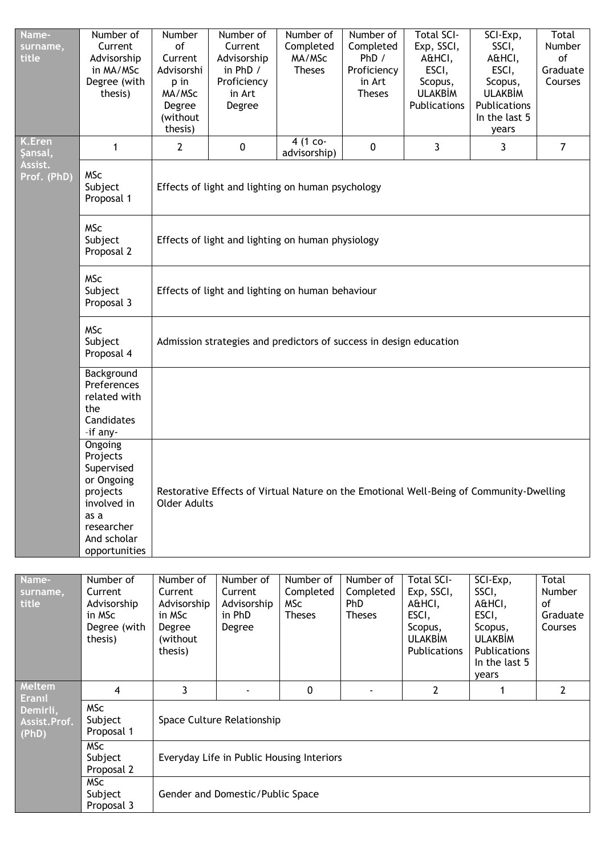| Name-<br>surname,<br>title        | Number of<br>Current<br>Advisorship<br>in MA/MSc<br>Degree (with<br>thesis)                                     | Number<br>of<br>Current<br>Advisorshi<br>p in<br>MA/MSc<br>Degree<br>(without<br>thesis)                       | Number of<br>Current<br>Advisorship<br>in PhD /<br>Proficiency<br>in Art<br>Degree | Number of<br>Completed<br>MA/MSc<br><b>Theses</b>     | Number of<br>Completed<br>PhD /<br>Proficiency<br>in Art<br><b>Theses</b> | <b>Total SCI-</b><br>Exp, SSCI,<br>A&HCI,<br>ESCI,<br>Scopus,<br><b>ULAKBİM</b><br>Publications | SCI-Exp,<br>SSCI,<br>A&HCI,<br>ESCI,<br>Scopus,<br><b>ULAKBİM</b><br>Publications<br>In the last 5<br>years | Total<br>Number<br>of<br>Graduate<br>Courses |  |  |  |
|-----------------------------------|-----------------------------------------------------------------------------------------------------------------|----------------------------------------------------------------------------------------------------------------|------------------------------------------------------------------------------------|-------------------------------------------------------|---------------------------------------------------------------------------|-------------------------------------------------------------------------------------------------|-------------------------------------------------------------------------------------------------------------|----------------------------------------------|--|--|--|
| <b>K.Eren</b><br>Şansal,          | 1                                                                                                               | $\mathbf{2}$                                                                                                   | $\pmb{0}$                                                                          | 4 (1 co-<br>advisorship)                              | $\pmb{0}$                                                                 | $\mathbf{3}$                                                                                    | 3                                                                                                           | $\overline{7}$                               |  |  |  |
| Assist.<br>Prof. (PhD)            | <b>MSc</b><br>Subject<br>Proposal 1                                                                             | Effects of light and lighting on human psychology                                                              |                                                                                    |                                                       |                                                                           |                                                                                                 |                                                                                                             |                                              |  |  |  |
|                                   | <b>MSc</b><br>Subject<br>Proposal 2                                                                             |                                                                                                                | Effects of light and lighting on human physiology                                  |                                                       |                                                                           |                                                                                                 |                                                                                                             |                                              |  |  |  |
|                                   | <b>MSc</b><br>Subject<br>Proposal 3                                                                             |                                                                                                                | Effects of light and lighting on human behaviour                                   |                                                       |                                                                           |                                                                                                 |                                                                                                             |                                              |  |  |  |
|                                   | <b>MSc</b><br>Subject<br>Proposal 4                                                                             |                                                                                                                | Admission strategies and predictors of success in design education                 |                                                       |                                                                           |                                                                                                 |                                                                                                             |                                              |  |  |  |
|                                   | Background<br>Preferences<br>related with<br>the<br>Candidates<br>-if any-                                      |                                                                                                                |                                                                                    |                                                       |                                                                           |                                                                                                 |                                                                                                             |                                              |  |  |  |
|                                   | Ongoing<br>Projects<br>Supervised<br>or Ongoing<br>projects<br>involved in<br>as a<br>researcher<br>And scholar | Restorative Effects of Virtual Nature on the Emotional Well-Being of Community-Dwelling<br><b>Older Adults</b> |                                                                                    |                                                       |                                                                           |                                                                                                 |                                                                                                             |                                              |  |  |  |
|                                   | opportunities                                                                                                   |                                                                                                                |                                                                                    |                                                       |                                                                           |                                                                                                 |                                                                                                             |                                              |  |  |  |
| Name-<br>surname,<br>title        | Number of<br>Current<br>Advisorship<br>in MSc<br>Degree (with<br>thesis)                                        | Number of<br>Current<br>Advisorship<br>in MSc<br>Degree<br>(without<br>thesis)                                 | Number of<br>Current<br>Advisorship<br>in PhD<br>Degree                            | Number of<br>Completed<br><b>MSc</b><br><b>Theses</b> | Number of<br>Completed<br><b>PhD</b><br><b>Theses</b>                     | <b>Total SCI-</b><br>Exp, SSCI,<br>A&HCI,<br>ESCI,<br>Scopus,<br><b>ULAKBİM</b><br>Publications | SCI-Exp,<br>SSCI,<br>A&HCI,<br>ESCI,<br>Scopus,<br><b>ULAKBİM</b><br>Publications<br>In the last 5<br>years | Total<br>Number<br>of<br>Graduate<br>Courses |  |  |  |
| Meltem<br><b>Eranıl</b>           | $\overline{4}$                                                                                                  | 3                                                                                                              |                                                                                    | $\mathbf 0$                                           | ÷                                                                         | $\overline{2}$                                                                                  | 1                                                                                                           | $\overline{2}$                               |  |  |  |
| Demirli,<br>Assist.Prof.<br>(PhD) | <b>MSc</b><br>Subject<br>Proposal 1                                                                             |                                                                                                                | Space Culture Relationship                                                         |                                                       |                                                                           |                                                                                                 |                                                                                                             |                                              |  |  |  |
|                                   | <b>MSC</b><br>Subject<br>Proposal 2                                                                             |                                                                                                                | Everyday Life in Public Housing Interiors                                          |                                                       |                                                                           |                                                                                                 |                                                                                                             |                                              |  |  |  |
|                                   | <b>MSc</b><br>Subject<br>Proposal 3                                                                             |                                                                                                                | Gender and Domestic/Public Space                                                   |                                                       |                                                                           |                                                                                                 |                                                                                                             |                                              |  |  |  |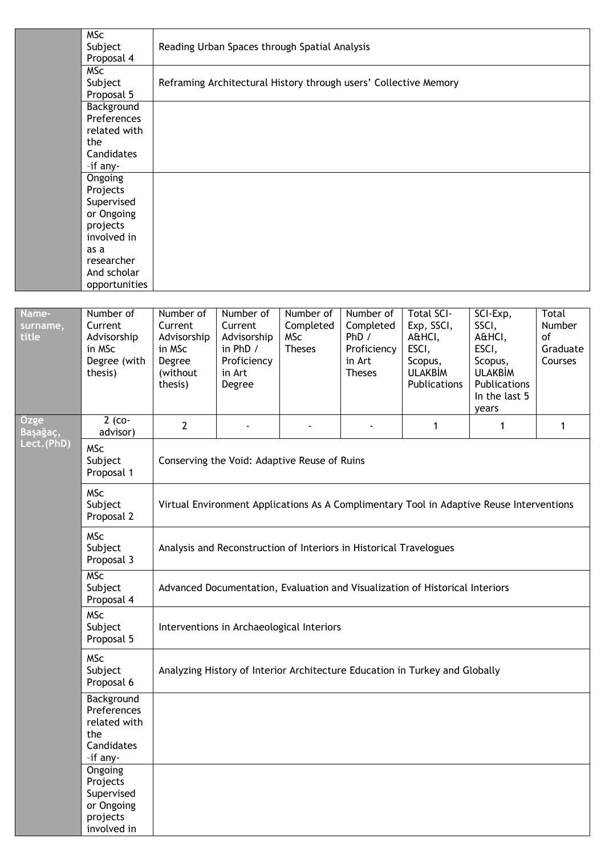|                   | <b>MSc</b><br>Subject<br>Proposal 4                                                                                              |                                                                   | Reading Urban Spaces through Spatial Analysis                         |                                          |                                                                    |                                                                              |                                                                                                 |                                     |  |  |  |  |
|-------------------|----------------------------------------------------------------------------------------------------------------------------------|-------------------------------------------------------------------|-----------------------------------------------------------------------|------------------------------------------|--------------------------------------------------------------------|------------------------------------------------------------------------------|-------------------------------------------------------------------------------------------------|-------------------------------------|--|--|--|--|
|                   | <b>MSc</b><br>Subject<br>Proposal 5                                                                                              |                                                                   |                                                                       |                                          | Reframing Architectural History through users' Collective Memory   |                                                                              |                                                                                                 |                                     |  |  |  |  |
|                   | Background<br>Preferences<br>related with<br>the<br>Candidates<br>-if any-                                                       |                                                                   |                                                                       |                                          |                                                                    |                                                                              |                                                                                                 |                                     |  |  |  |  |
|                   | Ongoing<br>Projects<br>Supervised<br>or Ongoing<br>projects<br>involved in<br>as a<br>researcher<br>And scholar<br>opportunities |                                                                   |                                                                       |                                          |                                                                    |                                                                              |                                                                                                 |                                     |  |  |  |  |
| Name-             | Number of                                                                                                                        | Number of                                                         | Number of                                                             | Number of                                | Number of                                                          | <b>Total SCI-</b>                                                            | SCI-Exp,                                                                                        | Total                               |  |  |  |  |
| surname,<br>title | Current<br>Advisorship<br>in MSc<br>Degree (with<br>thesis)                                                                      | Current<br>Advisorship<br>in MSc<br>Degree<br>(without<br>thesis) | Current<br>Advisorship<br>in PhD /<br>Proficiency<br>in Art<br>Degree | Completed<br><b>MSc</b><br><b>Theses</b> | Completed<br>PhD /<br>Proficiency<br>in Art<br><b>Theses</b>       | Exp, SSCI,<br>A&HCI,<br>ESCI,<br>Scopus,<br><b>ULAKBİM</b><br>Publications   | SSCI,<br>A&HCI,<br>ESCI,<br>Scopus,<br><b>ULAKBİM</b><br>Publications<br>In the last 5<br>years | Number<br>of<br>Graduate<br>Courses |  |  |  |  |
| Özge<br>Başağaç,  | $2$ (co-<br>advisor)                                                                                                             | $\mathbf{2}$                                                      |                                                                       |                                          |                                                                    | 1                                                                            | 1                                                                                               | $\mathbf{1}$                        |  |  |  |  |
| Lect. (PhD)       | <b>MSc</b><br>Subject<br>Proposal 1                                                                                              |                                                                   | Conserving the Void: Adaptive Reuse of Ruins                          |                                          |                                                                    |                                                                              |                                                                                                 |                                     |  |  |  |  |
|                   | <b>MSc</b><br>Subject<br>Proposal 2                                                                                              |                                                                   |                                                                       |                                          |                                                                    |                                                                              | Virtual Environment Applications As A Complimentary Tool in Adaptive Reuse Interventions        |                                     |  |  |  |  |
|                   | <b>MSc</b><br>Subject<br>Proposal 3                                                                                              |                                                                   |                                                                       |                                          | Analysis and Reconstruction of Interiors in Historical Travelogues |                                                                              |                                                                                                 |                                     |  |  |  |  |
|                   | <b>MSc</b><br>Subject<br>Proposal 4                                                                                              |                                                                   |                                                                       |                                          |                                                                    | Advanced Documentation, Evaluation and Visualization of Historical Interiors |                                                                                                 |                                     |  |  |  |  |
|                   | <b>MSc</b><br>Subject<br>Proposal 5                                                                                              |                                                                   | Interventions in Archaeological Interiors                             |                                          |                                                                    |                                                                              |                                                                                                 |                                     |  |  |  |  |
|                   | <b>MSc</b><br>Subject<br>Proposal 6                                                                                              |                                                                   |                                                                       |                                          |                                                                    | Analyzing History of Interior Architecture Education in Turkey and Globally  |                                                                                                 |                                     |  |  |  |  |
|                   | Background<br>Preferences<br>related with<br>the<br>Candidates<br>-if any-                                                       |                                                                   |                                                                       |                                          |                                                                    |                                                                              |                                                                                                 |                                     |  |  |  |  |
|                   | Ongoing<br>Projects<br>Supervised<br>or Ongoing<br>projects<br>involved in                                                       |                                                                   |                                                                       |                                          |                                                                    |                                                                              |                                                                                                 |                                     |  |  |  |  |